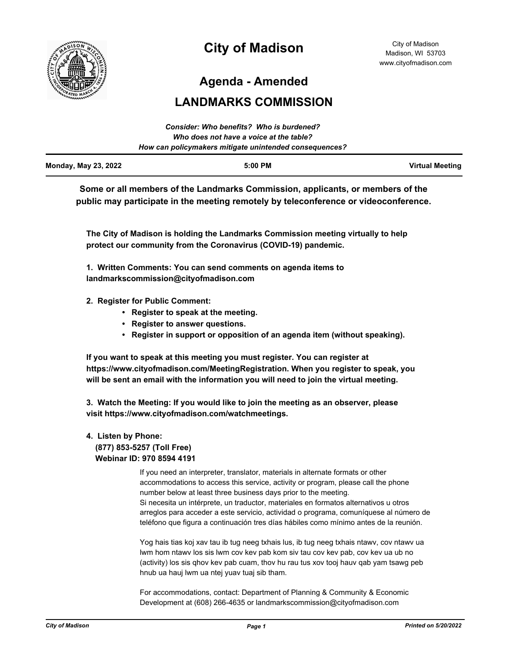

# **City of Madison**

**Agenda - Amended**

## **LANDMARKS COMMISSION**

|                             | Consider: Who benefits? Who is burdened?               |                        |
|-----------------------------|--------------------------------------------------------|------------------------|
|                             | Who does not have a voice at the table?                |                        |
|                             | How can policymakers mitigate unintended consequences? |                        |
| <b>Monday, May 23, 2022</b> | $5:00$ PM                                              | <b>Virtual Meeting</b> |

**Some or all members of the Landmarks Commission, applicants, or members of the public may participate in the meeting remotely by teleconference or videoconference.**

**The City of Madison is holding the Landmarks Commission meeting virtually to help protect our community from the Coronavirus (COVID-19) pandemic.**

**1. Written Comments: You can send comments on agenda items to landmarkscommission@cityofmadison.com**

- **2. Register for Public Comment:** 
	- **Register to speak at the meeting.**
	- **Register to answer questions.**
	- **Register in support or opposition of an agenda item (without speaking).**

**If you want to speak at this meeting you must register. You can register at https://www.cityofmadison.com/MeetingRegistration. When you register to speak, you will be sent an email with the information you will need to join the virtual meeting.**

**3. Watch the Meeting: If you would like to join the meeting as an observer, please visit https://www.cityofmadison.com/watchmeetings.**

## **4. Listen by Phone: (877) 853-5257 (Toll Free) Webinar ID: 970 8594 4191**

If you need an interpreter, translator, materials in alternate formats or other accommodations to access this service, activity or program, please call the phone number below at least three business days prior to the meeting. Si necesita un intérprete, un traductor, materiales en formatos alternativos u otros arreglos para acceder a este servicio, actividad o programa, comuníquese al número de teléfono que figura a continuación tres días hábiles como mínimo antes de la reunión.

Yog hais tias koj xav tau ib tug neeg txhais lus, ib tug neeg txhais ntawv, cov ntawv ua lwm hom ntawv los sis lwm cov kev pab kom siv tau cov kev pab, cov kev ua ub no (activity) los sis qhov kev pab cuam, thov hu rau tus xov tooj hauv qab yam tsawg peb hnub ua hauj lwm ua ntej yuav tuaj sib tham.

For accommodations, contact: Department of Planning & Community & Economic Development at (608) 266-4635 or landmarkscommission@cityofmadison.com